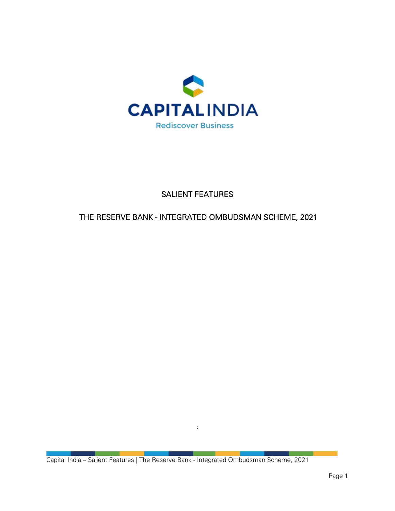

# SALIENT FEATURES

## THE RESERVE BANK - INTEGRATED OMBUDSMAN SCHEME, 2021

Capital India – Salient Features | The Reserve Bank - Integrated Ombudsman Scheme, 2021

: